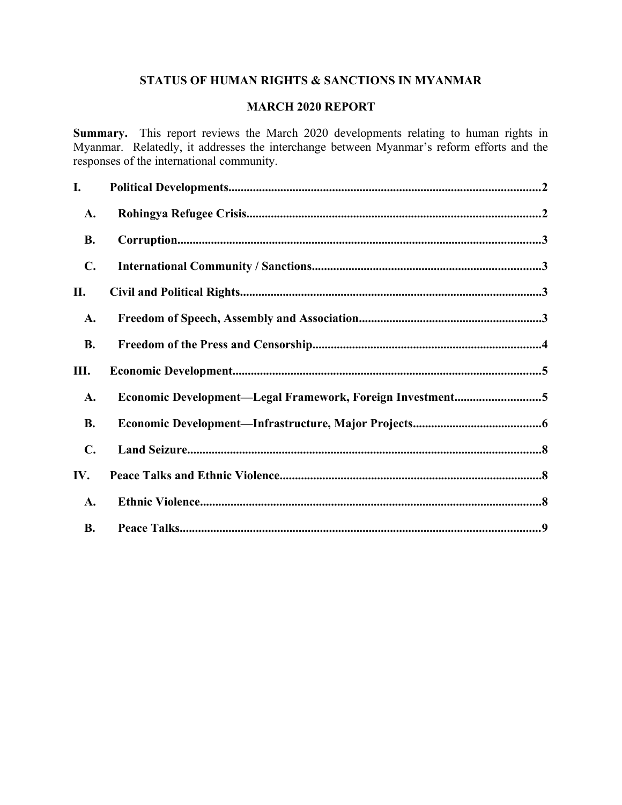# **STATUS OF HUMAN RIGHTS & SANCTIONS IN MYANMAR**

### **MARCH 2020 REPORT**

**Summary.** This report reviews the March 2020 developments relating to human rights in Myanmar. Relatedly, it addresses the interchange between Myanmar's reform efforts and the responses of the international community.

| I.             |                                                           |  |
|----------------|-----------------------------------------------------------|--|
| A.             |                                                           |  |
| <b>B.</b>      |                                                           |  |
| $\mathbf{C}$ . |                                                           |  |
| П.             |                                                           |  |
| A.             |                                                           |  |
| <b>B.</b>      |                                                           |  |
| Ш.             |                                                           |  |
| A.             | Economic Development-Legal Framework, Foreign Investment5 |  |
| <b>B.</b>      |                                                           |  |
| $\mathbf{C}$ . |                                                           |  |
| IV.            |                                                           |  |
|                |                                                           |  |
| A.             |                                                           |  |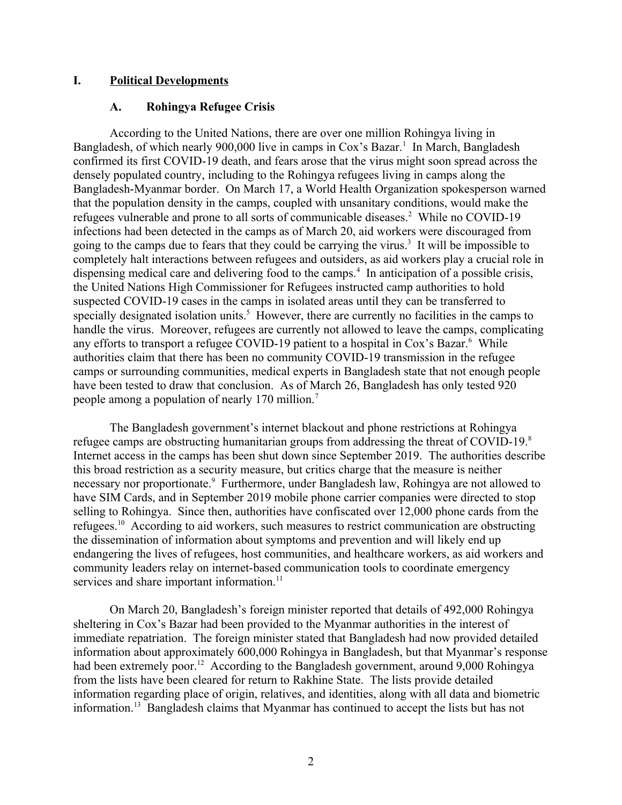#### **I. Political Developments**

#### <span id="page-1-1"></span><span id="page-1-0"></span>**A. Rohingya Refugee Crisis**

According to the United Nations, there are over one million Rohingya living in Bangladesh, of which nearly 900,000 live in camps in Cox's Bazar.<sup>1</sup> In March, Bangladesh confirmed its first COVID-19 death, and fears arose that the virus might soon spread across the densely populated country, including to the Rohingya refugees living in camps along the Bangladesh-Myanmar border. On March 17, a World Health Organization spokesperson warned that the population density in the camps, coupled with unsanitary conditions, would make the refugees vulnerable and prone to all sorts of communicable diseases.<sup>2</sup> While no COVID-19 infections had been detected in the camps as of March 20, aid workers were discouraged from going to the camps due to fears that they could be carrying the virus.<sup>3</sup> It will be impossible to completely halt interactions between refugees and outsiders, as aid workers play a crucial role in dispensing medical care and delivering food to the camps.<sup>4</sup> In anticipation of a possible crisis, the United Nations High Commissioner for Refugees instructed camp authorities to hold suspected COVID-19 cases in the camps in isolated areas until they can be transferred to specially designated isolation units.<sup>5</sup> However, there are currently no facilities in the camps to handle the virus. Moreover, refugees are currently not allowed to leave the camps, complicating any efforts to transport a refugee COVID-19 patient to a hospital in Cox's Bazar.<sup>6</sup> While authorities claim that there has been no community COVID-19 transmission in the refugee camps or surrounding communities, medical experts in Bangladesh state that not enough people have been tested to draw that conclusion. As of March 26, Bangladesh has only tested 920 people among a population of nearly 170 million.<sup>7</sup>

The Bangladesh government's internet blackout and phone restrictions at Rohingya refugee camps are obstructing humanitarian groups from addressing the threat of COVID-19.<sup>8</sup> Internet access in the camps has been shut down since September 2019. The authorities describe this broad restriction as a security measure, but critics charge that the measure is neither necessary nor proportionate.<sup>9</sup> Furthermore, under Bangladesh law, Rohingya are not allowed to have SIM Cards, and in September 2019 mobile phone carrier companies were directed to stop selling to Rohingya. Since then, authorities have confiscated over 12,000 phone cards from the refugees.<sup>10</sup> According to aid workers, such measures to restrict communication are obstructing the dissemination of information about symptoms and prevention and will likely end up endangering the lives of refugees, host communities, and healthcare workers, as aid workers and community leaders relay on internet-based communication tools to coordinate emergency services and share important information.<sup>11</sup>

On March 20, Bangladesh's foreign minister reported that details of 492,000 Rohingya sheltering in Cox's Bazar had been provided to the Myanmar authorities in the interest of immediate repatriation. The foreign minister stated that Bangladesh had now provided detailed information about approximately 600,000 Rohingya in Bangladesh, but that Myanmar's response had been extremely poor.<sup>12</sup> According to the Bangladesh government, around 9,000 Rohingya from the lists have been cleared for return to Rakhine State. The lists provide detailed information regarding place of origin, relatives, and identities, along with all data and biometric information.<sup>13</sup> Bangladesh claims that Myanmar has continued to accept the lists but has not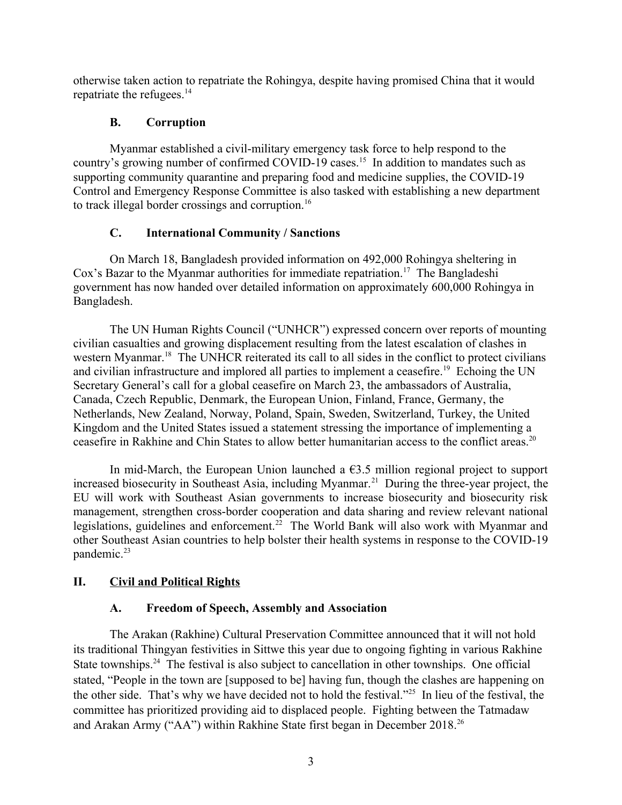otherwise taken action to repatriate the Rohingya, despite having promised China that it would repatriate the refugees.<sup>14</sup>

## <span id="page-2-3"></span>**B. Corruption**

Myanmar established a civil-military emergency task force to help respond to the country's growing number of confirmed COVID-19 cases.<sup>15</sup> In addition to mandates such as supporting community quarantine and preparing food and medicine supplies, the COVID-19 Control and Emergency Response Committee is also tasked with establishing a new department to track illegal border crossings and corruption.<sup>16</sup>

## <span id="page-2-2"></span>**C. International Community / Sanctions**

On March 18, Bangladesh provided information on 492,000 Rohingya sheltering in Cox's Bazar to the Myanmar authorities for immediate repatriation.<sup>17</sup> The Bangladeshi government has now handed over detailed information on approximately 600,000 Rohingya in Bangladesh.

The UN Human Rights Council ("UNHCR") expressed concern over reports of mounting civilian casualties and growing displacement resulting from the latest escalation of clashes in western Myanmar.<sup>18</sup> The UNHCR reiterated its call to all sides in the conflict to protect civilians and civilian infrastructure and implored all parties to implement a ceasefire.<sup>19</sup> Echoing the UN Secretary General's call for a global ceasefire on March 23, the ambassadors of Australia, Canada, Czech Republic, Denmark, the European Union, Finland, France, Germany, the Netherlands, New Zealand, Norway, Poland, Spain, Sweden, Switzerland, Turkey, the United Kingdom and the United States issued a statement stressing the importance of implementing a ceasefire in Rakhine and Chin States to allow better humanitarian access to the conflict areas.<sup>20</sup>

In mid-March, the European Union launched a  $63.5$  million regional project to support increased biosecurity in Southeast Asia, including Myanmar.<sup>21</sup> During the three-year project, the EU will work with Southeast Asian governments to increase biosecurity and biosecurity risk management, strengthen cross-border cooperation and data sharing and review relevant national legislations, guidelines and enforcement.<sup>22</sup> The World Bank will also work with Myanmar and other Southeast Asian countries to help bolster their health systems in response to the COVID-19 pandemic.<sup>23</sup>

## **II. Civil and Political Rights**

### <span id="page-2-1"></span><span id="page-2-0"></span>**A. Freedom of Speech, Assembly and Association**

The Arakan (Rakhine) Cultural Preservation Committee announced that it will not hold its traditional Thingyan festivities in Sittwe this year due to ongoing fighting in various Rakhine State townships.<sup>24</sup> The festival is also subject to cancellation in other townships. One official stated, "People in the town are [supposed to be] having fun, though the clashes are happening on the other side. That's why we have decided not to hold the festival."<sup>25</sup> In lieu of the festival, the committee has prioritized providing aid to displaced people. Fighting between the Tatmadaw and Arakan Army ("AA") within Rakhine State first began in December 2018.<sup>26</sup>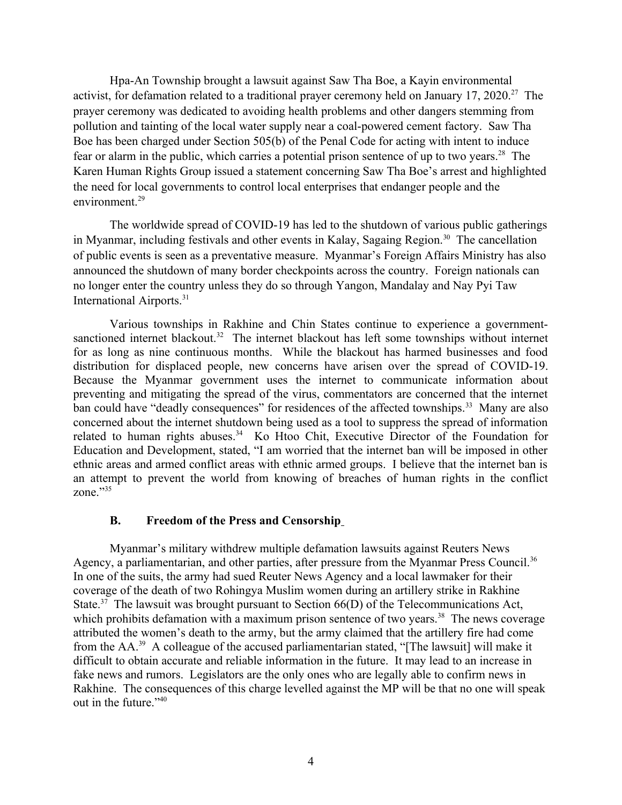Hpa-An Township brought a lawsuit against Saw Tha Boe, a Kayin environmental activist, for defamation related to a traditional prayer ceremony held on January 17, 2020.<sup>27</sup> The prayer ceremony was dedicated to avoiding health problems and other dangers stemming from pollution and tainting of the local water supply near a coal-powered cement factory. Saw Tha Boe has been charged under Section 505(b) of the Penal Code for acting with intent to induce fear or alarm in the public, which carries a potential prison sentence of up to two years.<sup>28</sup> The Karen Human Rights Group issued a statement concerning Saw Tha Boe's arrest and highlighted the need for local governments to control local enterprises that endanger people and the environment $^{29}$ 

The worldwide spread of COVID-19 has led to the shutdown of various public gatherings in Myanmar, including festivals and other events in Kalay, Sagaing Region.<sup>30</sup> The cancellation of public events is seen as a preventative measure. Myanmar's Foreign Affairs Ministry has also announced the shutdown of many border checkpoints across the country. Foreign nationals can no longer enter the country unless they do so through Yangon, Mandalay and Nay Pyi Taw International Airports.<sup>31</sup>

Various townships in Rakhine and Chin States continue to experience a governmentsanctioned internet blackout.<sup>32</sup> The internet blackout has left some townships without internet for as long as nine continuous months. While the blackout has harmed businesses and food distribution for displaced people, new concerns have arisen over the spread of COVID-19. Because the Myanmar government uses the internet to communicate information about preventing and mitigating the spread of the virus, commentators are concerned that the internet ban could have "deadly consequences" for residences of the affected townships.<sup>33</sup> Many are also concerned about the internet shutdown being used as a tool to suppress the spread of information related to human rights abuses.<sup>34</sup> Ko Htoo Chit, Executive Director of the Foundation for Education and Development, stated, "I am worried that the internet ban will be imposed in other ethnic areas and armed conflict areas with ethnic armed groups. I believe that the internet ban is an attempt to prevent the world from knowing of breaches of human rights in the conflict zone." $35$ 

#### <span id="page-3-0"></span>**B. Freedom of the Press and Censorship**

Myanmar's military withdrew multiple defamation lawsuits against Reuters News Agency, a parliamentarian, and other parties, after pressure from the Myanmar Press Council.<sup>36</sup> In one of the suits, the army had sued Reuter News Agency and a local lawmaker for their coverage of the death of two Rohingya Muslim women during an artillery strike in Rakhine State.<sup>37</sup> The lawsuit was brought pursuant to Section  $66(D)$  of the Telecommunications Act, which prohibits defamation with a maximum prison sentence of two years.<sup>38</sup> The news coverage attributed the women's death to the army, but the army claimed that the artillery fire had come from the AA.<sup>39</sup> A colleague of the accused parliamentarian stated, "[The lawsuit] will make it difficult to obtain accurate and reliable information in the future. It may lead to an increase in fake news and rumors. Legislators are the only ones who are legally able to confirm news in Rakhine. The consequences of this charge levelled against the MP will be that no one will speak out in the future."<sup>40</sup>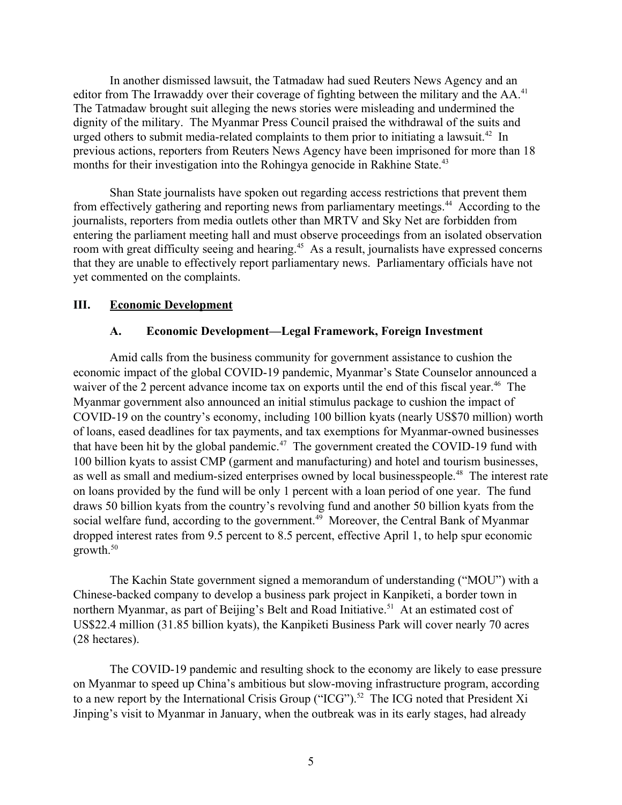In another dismissed lawsuit, the Tatmadaw had sued Reuters News Agency and an editor from The Irrawaddy over their coverage of fighting between the military and the AA.<sup>41</sup> The Tatmadaw brought suit alleging the news stories were misleading and undermined the dignity of the military. The Myanmar Press Council praised the withdrawal of the suits and urged others to submit media-related complaints to them prior to initiating a lawsuit.<sup>42</sup> In previous actions, reporters from Reuters News Agency have been imprisoned for more than 18 months for their investigation into the Rohingya genocide in Rakhine State.<sup>43</sup>

Shan State journalists have spoken out regarding access restrictions that prevent them from effectively gathering and reporting news from parliamentary meetings.<sup>44</sup> According to the journalists, reporters from media outlets other than MRTV and Sky Net are forbidden from entering the parliament meeting hall and must observe proceedings from an isolated observation room with great difficulty seeing and hearing.<sup>45</sup> As a result, journalists have expressed concerns that they are unable to effectively report parliamentary news. Parliamentary officials have not yet commented on the complaints.

#### **III. Economic Development**

#### <span id="page-4-1"></span><span id="page-4-0"></span>**A. Economic Development—Legal Framework, Foreign Investment**

Amid calls from the business community for government assistance to cushion the economic impact of the global COVID-19 pandemic, Myanmar's State Counselor announced a waiver of the 2 percent advance income tax on exports until the end of this fiscal year.<sup>46</sup> The Myanmar government also announced an initial stimulus package to cushion the impact of COVID-19 on the country's economy, including 100 billion kyats (nearly US\$70 million) worth of loans, eased deadlines for tax payments, and tax exemptions for Myanmar-owned businesses that have been hit by the global pandemic.<sup>47</sup> The government created the COVID-19 fund with 100 billion kyats to assist CMP (garment and manufacturing) and hotel and tourism businesses, as well as small and medium-sized enterprises owned by local businesspeople.<sup>48</sup> The interest rate on loans provided by the fund will be only 1 percent with a loan period of one year. The fund draws 50 billion kyats from the country's revolving fund and another 50 billion kyats from the social welfare fund, according to the government.<sup>49</sup> Moreover, the Central Bank of Myanmar dropped interest rates from 9.5 percent to 8.5 percent, effective April 1, to help spur economic growth.<sup>50</sup>

The Kachin State government signed a memorandum of understanding ("MOU") with a Chinese-backed company to develop a business park project in Kanpiketi, a border town in northern Myanmar, as part of Beijing's Belt and Road Initiative.<sup>51</sup> At an estimated cost of US\$22.4 million (31.85 billion kyats), the Kanpiketi Business Park will cover nearly 70 acres (28 hectares).

The COVID-19 pandemic and resulting shock to the economy are likely to ease pressure on Myanmar to speed up China's ambitious but slow-moving infrastructure program, according to a new report by the International Crisis Group ("ICG").<sup>52</sup> The ICG noted that President Xi Jinping's visit to Myanmar in January, when the outbreak was in its early stages, had already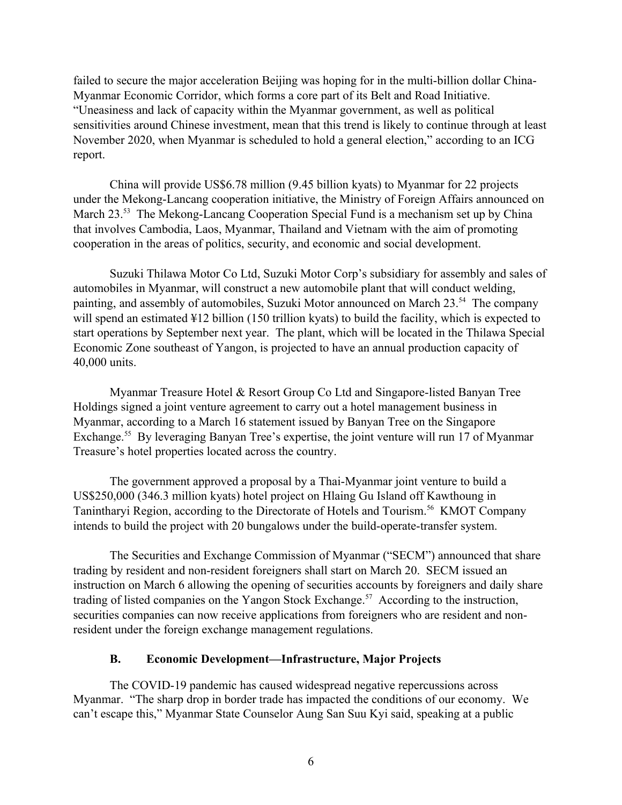failed to secure the major acceleration Beijing was hoping for in the multi-billion dollar China-Myanmar Economic Corridor, which forms a core part of its Belt and Road Initiative. "Uneasiness and lack of capacity within the Myanmar government, as well as political sensitivities around Chinese investment, mean that this trend is likely to continue through at least November 2020, when Myanmar is scheduled to hold a general election," according to an ICG report.

China will provide US\$6.78 million (9.45 billion kyats) to Myanmar for 22 projects under the Mekong-Lancang cooperation initiative, the Ministry of Foreign Affairs announced on March 23.<sup>53</sup> The Mekong-Lancang Cooperation Special Fund is a mechanism set up by China that involves Cambodia, Laos, Myanmar, Thailand and Vietnam with the aim of promoting cooperation in the areas of politics, security, and economic and social development.

Suzuki Thilawa Motor Co Ltd, Suzuki Motor Corp's subsidiary for assembly and sales of automobiles in Myanmar, will construct a new automobile plant that will conduct welding, painting, and assembly of automobiles, Suzuki Motor announced on March 23.<sup>54</sup> The company will spend an estimated ¥12 billion (150 trillion kyats) to build the facility, which is expected to start operations by September next year. The plant, which will be located in the Thilawa Special Economic Zone southeast of Yangon, is projected to have an annual production capacity of 40,000 units.

Myanmar Treasure Hotel & Resort Group Co Ltd and Singapore-listed Banyan Tree Holdings signed a joint venture agreement to carry out a hotel management business in Myanmar, according to a March 16 statement issued by Banyan Tree on the Singapore Exchange.<sup>55</sup> By leveraging Banyan Tree's expertise, the joint venture will run 17 of Myanmar Treasure's hotel properties located across the country.

The government approved a proposal by a Thai-Myanmar joint venture to build a US\$250,000 (346.3 million kyats) hotel project on Hlaing Gu Island off Kawthoung in Tanintharyi Region, according to the Directorate of Hotels and Tourism.<sup>56</sup> KMOT Company intends to build the project with 20 bungalows under the build-operate-transfer system.

The Securities and Exchange Commission of Myanmar ("SECM") announced that share trading by resident and non-resident foreigners shall start on March 20. SECM issued an instruction on March 6 allowing the opening of securities accounts by foreigners and daily share trading of listed companies on the Yangon Stock Exchange.<sup>57</sup> According to the instruction, securities companies can now receive applications from foreigners who are resident and nonresident under the foreign exchange management regulations.

### <span id="page-5-0"></span>**B. Economic Development—Infrastructure, Major Projects**

The COVID-19 pandemic has caused widespread negative repercussions across Myanmar. "The sharp drop in border trade has impacted the conditions of our economy. We can't escape this," Myanmar State Counselor Aung San Suu Kyi said, speaking at a public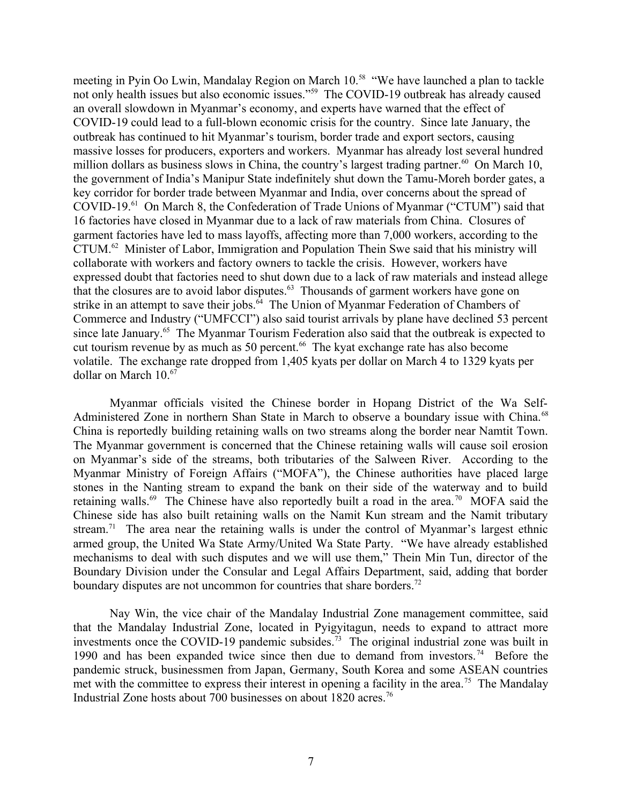meeting in Pyin Oo Lwin, Mandalay Region on March 10.<sup>58</sup> "We have launched a plan to tackle not only health issues but also economic issues."<sup>59</sup> The COVID-19 outbreak has already caused an overall slowdown in Myanmar's economy, and experts have warned that the effect of COVID-19 could lead to a full-blown economic crisis for the country. Since late January, the outbreak has continued to hit Myanmar's tourism, border trade and export sectors, causing massive losses for producers, exporters and workers. Myanmar has already lost several hundred million dollars as business slows in China, the country's largest trading partner.<sup>60</sup> On March 10, the government of India's Manipur State indefinitely shut down the Tamu-Moreh border gates, a key corridor for border trade between Myanmar and India, over concerns about the spread of COVID-19.<sup>61</sup> On March 8, the Confederation of Trade Unions of Myanmar ("CTUM") said that 16 factories have closed in Myanmar due to a lack of raw materials from China. Closures of garment factories have led to mass layoffs, affecting more than 7,000 workers, according to the CTUM.<sup>62</sup> Minister of Labor, Immigration and Population Thein Swe said that his ministry will collaborate with workers and factory owners to tackle the crisis. However, workers have expressed doubt that factories need to shut down due to a lack of raw materials and instead allege that the closures are to avoid labor disputes. $63$  Thousands of garment workers have gone on strike in an attempt to save their jobs. $64$  The Union of Myanmar Federation of Chambers of Commerce and Industry ("UMFCCI") also said tourist arrivals by plane have declined 53 percent since late January.<sup>65</sup> The Myanmar Tourism Federation also said that the outbreak is expected to cut tourism revenue by as much as 50 percent.<sup>66</sup> The kyat exchange rate has also become volatile. The exchange rate dropped from 1,405 kyats per dollar on March 4 to 1329 kyats per dollar on March 10.<sup>67</sup>

Myanmar officials visited the Chinese border in Hopang District of the Wa Self-Administered Zone in northern Shan State in March to observe a boundary issue with China.<sup>68</sup> China is reportedly building retaining walls on two streams along the border near Namtit Town. The Myanmar government is concerned that the Chinese retaining walls will cause soil erosion on Myanmar's side of the streams, both tributaries of the Salween River. According to the Myanmar Ministry of Foreign Affairs ("MOFA"), the Chinese authorities have placed large stones in the Nanting stream to expand the bank on their side of the waterway and to build retaining walls.<sup>69</sup> The Chinese have also reportedly built a road in the area.<sup>70</sup> MOFA said the Chinese side has also built retaining walls on the Namit Kun stream and the Namit tributary stream.<sup>71</sup> The area near the retaining walls is under the control of Myanmar's largest ethnic armed group, the United Wa State Army/United Wa State Party. "We have already established mechanisms to deal with such disputes and we will use them," Thein Min Tun, director of the Boundary Division under the Consular and Legal Affairs Department, said, adding that border boundary disputes are not uncommon for countries that share borders.<sup>72</sup>

Nay Win, the vice chair of the Mandalay Industrial Zone management committee, said that the Mandalay Industrial Zone, located in Pyigyitagun, needs to expand to attract more investments once the COVID-19 pandemic subsides.<sup>73</sup> The original industrial zone was built in 1990 and has been expanded twice since then due to demand from investors.<sup>74</sup> Before the pandemic struck, businessmen from Japan, Germany, South Korea and some ASEAN countries met with the committee to express their interest in opening a facility in the area.<sup>75</sup> The Mandalay Industrial Zone hosts about 700 businesses on about 1820 acres.<sup>76</sup>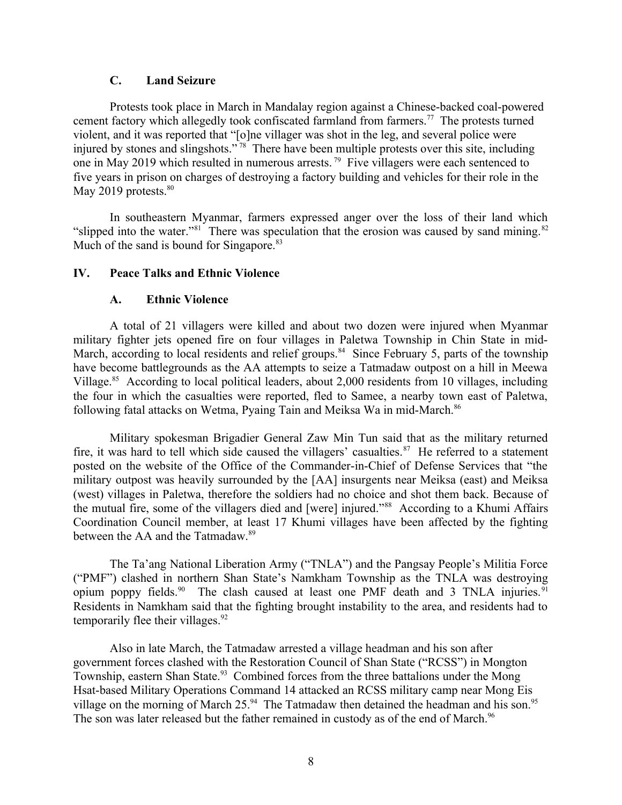#### <span id="page-7-2"></span>**C. Land Seizure**

Protests took place in March in Mandalay region against a Chinese-backed coal-powered cement factory which allegedly took confiscated farmland from farmers.<sup>77</sup> The protests turned violent, and it was reported that "[o]ne villager was shot in the leg, and several police were injured by stones and slingshots."<sup>78</sup> There have been multiple protests over this site, including one in May 2019 which resulted in numerous arrests.<sup>79</sup> Five villagers were each sentenced to five years in prison on charges of destroying a factory building and vehicles for their role in the May 2019 protests. $80$ 

In southeastern Myanmar, farmers expressed anger over the loss of their land which "slipped into the water."<sup>81</sup> There was speculation that the erosion was caused by sand mining.<sup>82</sup> Much of the sand is bound for Singapore.<sup>83</sup>

#### **IV. Peace Talks and Ethnic Violence**

#### <span id="page-7-1"></span><span id="page-7-0"></span>**A. Ethnic Violence**

A total of 21 villagers were killed and about two dozen were injured when Myanmar military fighter jets opened fire on four villages in Paletwa Township in Chin State in mid-March, according to local residents and relief groups.<sup>84</sup> Since February 5, parts of the township have become battlegrounds as the AA attempts to seize a Tatmadaw outpost on a hill in Meewa Village.<sup>85</sup> According to local political leaders, about 2,000 residents from 10 villages, including the four in which the casualties were reported, fled to Samee, a nearby town east of Paletwa, following fatal attacks on Wetma, Pyaing Tain and Meiksa Wa in mid-March.<sup>86</sup>

Military spokesman Brigadier General Zaw Min Tun said that as the military returned fire, it was hard to tell which side caused the villagers' casualties. $87$  He referred to a statement posted on the website of the Office of the Commander-in-Chief of Defense Services that "the military outpost was heavily surrounded by the [AA] insurgents near Meiksa (east) and Meiksa (west) villages in Paletwa, therefore the soldiers had no choice and shot them back. Because of the mutual fire, some of the villagers died and [were] injured."<sup>88</sup> According to a Khumi Affairs Coordination Council member, at least 17 Khumi villages have been affected by the fighting between the AA and the Tatmadaw.<sup>89</sup>

The Ta'ang National Liberation Army ("TNLA") and the Pangsay People's Militia Force ("PMF") clashed in northern Shan State's Namkham Township as the TNLA was destroying opium poppy fields.<sup>90</sup> The clash caused at least one PMF death and 3 TNLA injuries.<sup>91</sup> Residents in Namkham said that the fighting brought instability to the area, and residents had to temporarily flee their villages. $92$ 

Also in late March, the Tatmadaw arrested a village headman and his son after government forces clashed with the Restoration Council of Shan State ("RCSS") in Mongton Township, eastern Shan State.<sup>93</sup> Combined forces from the three battalions under the Mong Hsat-based Military Operations Command 14 attacked an RCSS military camp near Mong Eis village on the morning of March  $25.^{94}$ . The Tatmadaw then detained the headman and his son.<sup>95</sup> The son was later released but the father remained in custody as of the end of March.<sup>96</sup>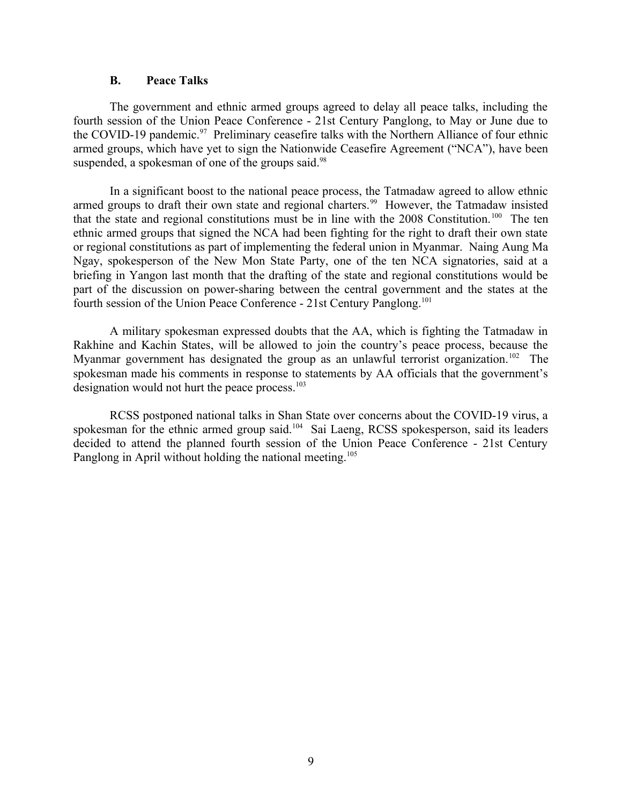#### <span id="page-8-0"></span>**B. Peace Talks**

The government and ethnic armed groups agreed to delay all peace talks, including the fourth session of the Union Peace Conference - 21st Century Panglong, to May or June due to the COVID-19 pandemic.<sup>97</sup> Preliminary ceasefire talks with the Northern Alliance of four ethnic armed groups, which have yet to sign the Nationwide Ceasefire Agreement ("NCA"), have been suspended, a spokesman of one of the groups said.<sup>98</sup>

In a significant boost to the national peace process, the Tatmadaw agreed to allow ethnic armed groups to draft their own state and regional charters.<sup>99</sup> However, the Tatmadaw insisted that the state and regional constitutions must be in line with the  $2008$  Constitution.<sup>100</sup> The ten ethnic armed groups that signed the NCA had been fighting for the right to draft their own state or regional constitutions as part of implementing the federal union in Myanmar. Naing Aung Ma Ngay, spokesperson of the New Mon State Party, one of the ten NCA signatories, said at a briefing in Yangon last month that the drafting of the state and regional constitutions would be part of the discussion on power-sharing between the central government and the states at the fourth session of the Union Peace Conference - 21st Century Panglong.<sup>101</sup>

A military spokesman expressed doubts that the AA, which is fighting the Tatmadaw in Rakhine and Kachin States, will be allowed to join the country's peace process, because the Myanmar government has designated the group as an unlawful terrorist organization.<sup>102</sup> The spokesman made his comments in response to statements by AA officials that the government's designation would not hurt the peace process.<sup>103</sup>

RCSS postponed national talks in Shan State over concerns about the COVID-19 virus, a spokesman for the ethnic armed group said.<sup>104</sup> Sai Laeng, RCSS spokesperson, said its leaders decided to attend the planned fourth session of the Union Peace Conference - 21st Century Panglong in April without holding the national meeting.<sup>105</sup>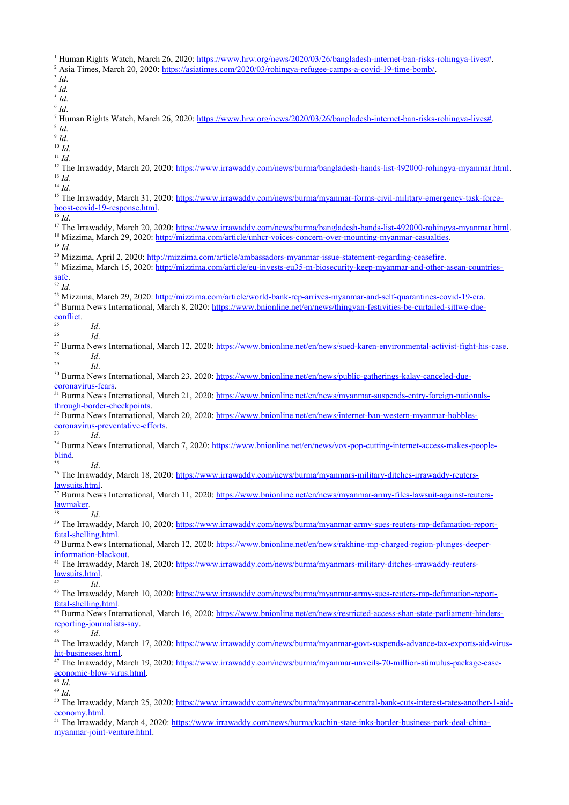<sup>1</sup> Human Rights Watch, March 26, 2020: [https://www.hrw.org/news/2020/03/26/bangladesh-internet-ban-risks-rohingya-lives#.](https://www.hrw.org/news/2020/03/26/bangladesh-internet-ban-risks-rohingya-lives) <sup>2</sup> Asia Times, March 20, 2020:<https://asiatimes.com/2020/03/rohingya-refugee-camps-a-covid-19-time-bomb/>. 3 *Id*. 4 *Id.* 5 *Id*. 6 *Id*. <sup>7</sup> Human Rights Watch, March 26, 2020: [https://www.hrw.org/news/2020/03/26/bangladesh-internet-ban-risks-rohingya-lives#.](https://www.hrw.org/news/2020/03/26/bangladesh-internet-ban-risks-rohingya-lives) 8 *Id*. 9 *Id*. <sup>10</sup> *Id*. <sup>11</sup> *Id.* <sup>12</sup> The Irrawaddy, March 20, 2020: <https://www.irrawaddy.com/news/burma/bangladesh-hands-list-492000-rohingya-myanmar.html>. <sup>13</sup> *Id.* <sup>14</sup> *Id.* <sup>15</sup> The Irrawaddy, March 31, 2020: [https://www.irrawaddy.com/news/burma/myanmar-forms-civil-military-emergency-task-force](https://www.irrawaddy.com/news/burma/myanmar-forms-civil-military-emergency-task-force-boost-covid-19-response.html)[boost-covid-19-response.html.](https://www.irrawaddy.com/news/burma/myanmar-forms-civil-military-emergency-task-force-boost-covid-19-response.html) <sup>16</sup> *Id*. <sup>17</sup> The Irrawaddy, March 20, 2020: <https://www.irrawaddy.com/news/burma/bangladesh-hands-list-492000-rohingya-myanmar.html>. <sup>18</sup> Mizzima, March 29, 2020: [http://mizzima.com/article/unhcr-voices-concern-over-mounting-myanmar-casualties.](http://mizzima.com/article/unhcr-voices-concern-over-mounting-myanmar-casualties) <sup>19</sup> *Id.* <sup>20</sup> Mizzima, April 2, 2020: <http://mizzima.com/article/ambassadors-myanmar-issue-statement-regarding-ceasefire>. <sup>21</sup> Mizzima, March 15, 2020: [http://mizzima.com/article/eu-invests-eu35-m-biosecurity-keep-myanmar-and-other-asean-countries](http://mizzima.com/article/eu-invests-eu35-m-biosecurity-keep-myanmar-and-other-asean-countries-safe)[safe](http://mizzima.com/article/eu-invests-eu35-m-biosecurity-keep-myanmar-and-other-asean-countries-safe). <sup>22</sup> *Id.* <sup>23</sup> Mizzima, March 29, 2020: <http://mizzima.com/article/world-bank-rep-arrives-myanmar-and-self-quarantines-covid-19-era>. <sup>24</sup> Burma News International, March 8, 2020: [https://www.bnionline.net/en/news/thingyan-festivities-be-curtailed-sittwe-due](https://www.bnionline.net/en/news/thingyan-festivities-be-curtailed-sittwe-due-conflict)[conflict](https://www.bnionline.net/en/news/thingyan-festivities-be-curtailed-sittwe-due-conflict). <sup>25</sup> *Id*. <sup>26</sup> *Id*. <sup>27</sup> Burma News International, March 12, 2020:<https://www.bnionline.net/en/news/sued-karen-environmental-activist-fight-his-case>.  $\frac{28}{29}$  *Id.* <sup>29</sup> *Id*. <sup>30</sup> Burma News International, March 23, 2020: [https://www.bnionline.net/en/news/public-gatherings-kalay-canceled-due](https://www.bnionline.net/en/news/public-gatherings-kalay-canceled-due-coronavirus-fears)[coronavirus-fears.](https://www.bnionline.net/en/news/public-gatherings-kalay-canceled-due-coronavirus-fears) <sup>31</sup> Burma News International, March 21, 2020: [https://www.bnionline.net/en/news/myanmar-suspends-entry-foreign-nationals](https://www.bnionline.net/en/news/myanmar-suspends-entry-foreign-nationals-through-border-checkpoints)[through-border-checkpoints](https://www.bnionline.net/en/news/myanmar-suspends-entry-foreign-nationals-through-border-checkpoints). <sup>32</sup> Burma News International, March 20, 2020: [https://www.bnionline.net/en/news/internet-ban-western-myanmar-hobbles](https://www.bnionline.net/en/news/internet-ban-western-myanmar-hobbles-coronavirus-preventative-efforts)[coronavirus-preventative-efforts](https://www.bnionline.net/en/news/internet-ban-western-myanmar-hobbles-coronavirus-preventative-efforts). <sup>33</sup> *Id*. <sup>34</sup> Burma News International, March 7, 2020: [https://www.bnionline.net/en/news/vox-pop-cutting-internet-access-makes-people](https://www.bnionline.net/en/news/vox-pop-cutting-internet-access-makes-people-blind)[blind](https://www.bnionline.net/en/news/vox-pop-cutting-internet-access-makes-people-blind). <sup>35</sup> *Id*. <sup>36</sup> The Irrawaddy, March 18, 2020: [https://www.irrawaddy.com/news/burma/myanmars-military-ditches-irrawaddy-reuters](https://www.irrawaddy.com/news/burma/myanmars-military-ditches-irrawaddy-reuters-lawsuits.html)[lawsuits.html](https://www.irrawaddy.com/news/burma/myanmars-military-ditches-irrawaddy-reuters-lawsuits.html). <sup>37</sup> Burma News International, March 11, 2020: [https://www.bnionline.net/en/news/myanmar-army-files-lawsuit-against-reuters](https://www.bnionline.net/en/news/myanmar-army-files-lawsuit-against-reuters-lawmaker)[lawmaker](https://www.bnionline.net/en/news/myanmar-army-files-lawsuit-against-reuters-lawmaker). <sup>38</sup> *Id*. <sup>39</sup> The Irrawaddy, March 10, 2020: [https://www.irrawaddy.com/news/burma/myanmar-army-sues-reuters-mp-defamation-report](https://www.irrawaddy.com/news/burma/myanmar-army-sues-reuters-mp-defamation-report-fatal-shelling.html)[fatal-shelling.html](https://www.irrawaddy.com/news/burma/myanmar-army-sues-reuters-mp-defamation-report-fatal-shelling.html). 40 Burma News International, March 12, 2020: [https://www.bnionline.net/en/news/rakhine-mp-charged-region-plunges-deeper](https://www.bnionline.net/en/news/rakhine-mp-charged-region-plunges-deeper-information-blackout)[information-blackout](https://www.bnionline.net/en/news/rakhine-mp-charged-region-plunges-deeper-information-blackout). <sup>41</sup> The Irrawaddy, March 18, 2020: [https://www.irrawaddy.com/news/burma/myanmars-military-ditches-irrawaddy-reuters](https://www.irrawaddy.com/news/burma/myanmars-military-ditches-irrawaddy-reuters-lawsuits.html)[lawsuits.html](https://www.irrawaddy.com/news/burma/myanmars-military-ditches-irrawaddy-reuters-lawsuits.html). <sup>42</sup> *Id*. <sup>43</sup> The Irrawaddy, March 10, 2020: [https://www.irrawaddy.com/news/burma/myanmar-army-sues-reuters-mp-defamation-report](https://www.irrawaddy.com/news/burma/myanmar-army-sues-reuters-mp-defamation-report-fatal-shelling.html)[fatal-shelling.html](https://www.irrawaddy.com/news/burma/myanmar-army-sues-reuters-mp-defamation-report-fatal-shelling.html). <sup>44</sup> Burma News International, March 16, 2020: [https://www.bnionline.net/en/news/restricted-access-shan-state-parliament-hinders](https://www.bnionline.net/en/news/restricted-access-shan-state-parliament-hinders-reporting-journalists-say)[reporting-journalists-say](https://www.bnionline.net/en/news/restricted-access-shan-state-parliament-hinders-reporting-journalists-say). <sup>45</sup> *Id*. <sup>46</sup> The Irrawaddy, March 17, 2020: [https://www.irrawaddy.com/news/burma/myanmar-govt-suspends-advance-tax-exports-aid-virus](https://www.irrawaddy.com/news/burma/myanmar-govt-suspends-advance-tax-exports-aid-virus-hit-businesses.html)[hit-businesses.html](https://www.irrawaddy.com/news/burma/myanmar-govt-suspends-advance-tax-exports-aid-virus-hit-businesses.html). 47 The Irrawaddy, March 19, 2020: [https://www.irrawaddy.com/news/burma/myanmar-unveils-70-million-stimulus-package-ease](https://www.irrawaddy.com/news/burma/myanmar-unveils-70-million-stimulus-package-ease-economic-blow-virus.html)[economic-blow-virus.html.](https://www.irrawaddy.com/news/burma/myanmar-unveils-70-million-stimulus-package-ease-economic-blow-virus.html)  $\overline{\stackrel{48}{1}}$ *Id.*  $49 \frac{10}{1}$ <sup>50</sup> The Irrawaddy, March 25, 2020: [https://www.irrawaddy.com/news/burma/myanmar-central-bank-cuts-interest-rates-another-1-aid](https://www.irrawaddy.com/news/burma/myanmar-central-bank-cuts-interest-rates-another-1-aid-economy.html)[economy.html.](https://www.irrawaddy.com/news/burma/myanmar-central-bank-cuts-interest-rates-another-1-aid-economy.html) <sup>51</sup> The Irrawaddy, March 4, 2020: [https://www.irrawaddy.com/news/burma/kachin-state-inks-border-business-park-deal-china-](https://www.irrawaddy.com/news/burma/kachin-state-inks-border-business-park-deal-china-myanmar-joint-venture.html)

[myanmar-joint-venture.html](https://www.irrawaddy.com/news/burma/kachin-state-inks-border-business-park-deal-china-myanmar-joint-venture.html).